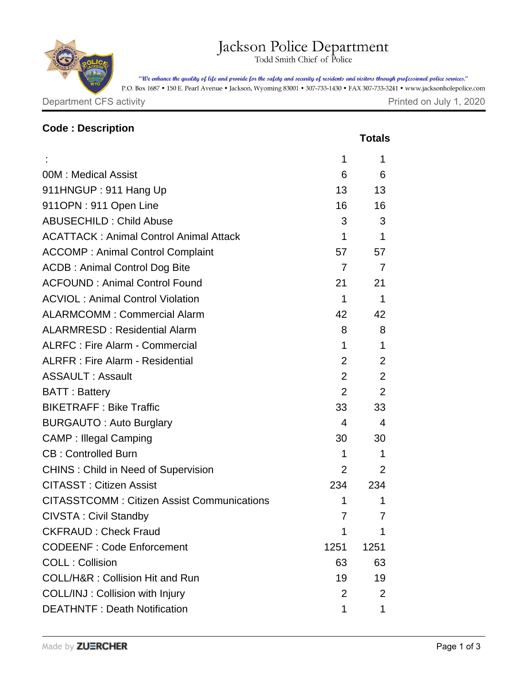## Jackson Police Department

"We enhance the quality of life and provide for the safety and security of residents and visitors through professional police services."

P.O. Box 1687 • 150 E. Pearl Avenue • Jackson, Wyoming 83001 • 307-733-1430 • FAX 307-733-3241 • www.jacksonholepolice.com

Department CFS activity

| Printed on July 1, 2020 |  |  |  |  |
|-------------------------|--|--|--|--|
|-------------------------|--|--|--|--|

| <b>Code: Description</b>                          |                           |                |
|---------------------------------------------------|---------------------------|----------------|
|                                                   |                           | <b>Totals</b>  |
|                                                   | 1                         | 1              |
| 00M: Medical Assist                               | 6                         | 6              |
| 911HNGUP: 911 Hang Up                             | 13 <sup>°</sup>           | 13             |
| 911OPN: 911 Open Line                             | 16                        | 16             |
| <b>ABUSECHILD: Child Abuse</b>                    | 3                         | 3              |
| <b>ACATTACK: Animal Control Animal Attack</b>     | 1                         | $\mathbf 1$    |
| <b>ACCOMP: Animal Control Complaint</b>           | 57                        | 57             |
| <b>ACDB: Animal Control Dog Bite</b>              | $\overline{7}$            | 7              |
| <b>ACFOUND: Animal Control Found</b>              | 21                        | 21             |
| <b>ACVIOL: Animal Control Violation</b>           | 1                         | 1              |
| <b>ALARMCOMM: Commercial Alarm</b>                | 42                        | 42             |
| <b>ALARMRESD: Residential Alarm</b>               | 8                         | 8              |
| <b>ALRFC: Fire Alarm - Commercial</b>             | 1                         | 1              |
| <b>ALRFR: Fire Alarm - Residential</b>            | $\overline{2}$            | 2              |
| <b>ASSAULT: Assault</b>                           | $\overline{2}$            | 2              |
| <b>BATT: Battery</b>                              | 2                         | 2              |
| <b>BIKETRAFF: Bike Traffic</b>                    | 33                        | 33             |
| <b>BURGAUTO: Auto Burglary</b>                    | 4                         | $\overline{4}$ |
| <b>CAMP: Illegal Camping</b>                      | 30                        | 30             |
| <b>CB: Controlled Burn</b>                        | 1                         | $\mathbf{1}$   |
| <b>CHINS: Child in Need of Supervision</b>        | $\mathbf{2}^{\mathsf{I}}$ | 2              |
| <b>CITASST: Citizen Assist</b>                    | 234                       | 234            |
| <b>CITASSTCOMM: Citizen Assist Communications</b> | 1                         | 1              |
| <b>CIVSTA: Civil Standby</b>                      | 7                         | $\prime$       |
| <b>CKFRAUD: Check Fraud</b>                       | 1                         | 1              |
| <b>CODEENF: Code Enforcement</b>                  | 1251                      | 1251           |
| <b>COLL: Collision</b>                            | 63                        | 63             |
| <b>COLL/H&amp;R: Collision Hit and Run</b>        | 19                        | 19             |
| COLL/INJ: Collision with Injury                   | $\overline{2}$            | 2              |
| <b>DEATHNTF: Death Notification</b>               | 1                         | 1              |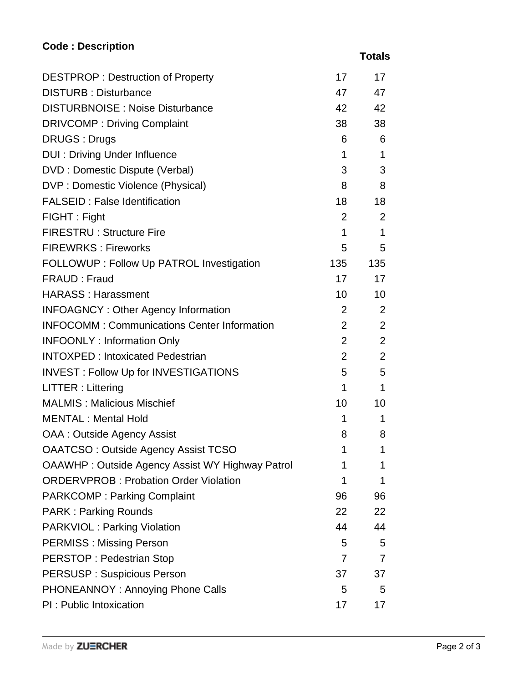## **Code : Description**

 **Totals**

| <b>DESTPROP: Destruction of Property</b>               | 17              | 17           |
|--------------------------------------------------------|-----------------|--------------|
| <b>DISTURB: Disturbance</b>                            | 47              | 47           |
| <b>DISTURBNOISE: Noise Disturbance</b>                 | 42              | 42           |
| <b>DRIVCOMP: Driving Complaint</b>                     | 38              | 38           |
| <b>DRUGS: Drugs</b>                                    | 6               | 6            |
| <b>DUI: Driving Under Influence</b>                    | 1               | $\mathbf 1$  |
| DVD : Domestic Dispute (Verbal)                        | 3               | 3            |
| DVP : Domestic Violence (Physical)                     | 8               | 8            |
| <b>FALSEID: False Identification</b>                   | 18              | 18           |
| FIGHT: Fight                                           | $\overline{2}$  | 2            |
| <b>FIRESTRU: Structure Fire</b>                        | $\mathbf 1$     | $\mathbf{1}$ |
| <b>FIREWRKS: Fireworks</b>                             | 5               | 5            |
| FOLLOWUP : Follow Up PATROL Investigation              | 135             | 135          |
| FRAUD: Fraud                                           | 17              | 17           |
| <b>HARASS: Harassment</b>                              | 10              | 10           |
| <b>INFOAGNCY: Other Agency Information</b>             | $\overline{2}$  | 2            |
| <b>INFOCOMM: Communications Center Information</b>     | $\overline{2}$  | 2            |
| <b>INFOONLY: Information Only</b>                      | $\overline{2}$  | 2            |
| <b>INTOXPED: Intoxicated Pedestrian</b>                | $\overline{2}$  | 2            |
| <b>INVEST: Follow Up for INVESTIGATIONS</b>            | 5               | 5            |
| LITTER : Littering                                     | $\mathbf 1$     | $\mathbf 1$  |
| <b>MALMIS: Malicious Mischief</b>                      | 10 <sup>°</sup> | 10           |
| <b>MENTAL: Mental Hold</b>                             | 1               | 1            |
| <b>OAA: Outside Agency Assist</b>                      | 8               | 8            |
| <b>OAATCSO: Outside Agency Assist TCSO</b>             | 1.              | 1            |
| <b>OAAWHP: Outside Agency Assist WY Highway Patrol</b> | 1               | 1            |
| <b>ORDERVPROB: Probation Order Violation</b>           | 1               | 1            |
| <b>PARKCOMP: Parking Complaint</b>                     | 96              | 96           |
| <b>PARK: Parking Rounds</b>                            | 22              | 22           |
| <b>PARKVIOL: Parking Violation</b>                     | 44              | 44           |
| <b>PERMISS: Missing Person</b>                         | 5               | 5            |
| <b>PERSTOP: Pedestrian Stop</b>                        | $\overline{7}$  | 7            |
| <b>PERSUSP: Suspicious Person</b>                      | 37              | 37           |
| PHONEANNOY: Annoying Phone Calls                       | 5               | 5            |
| PI : Public Intoxication                               | 17              | 17           |